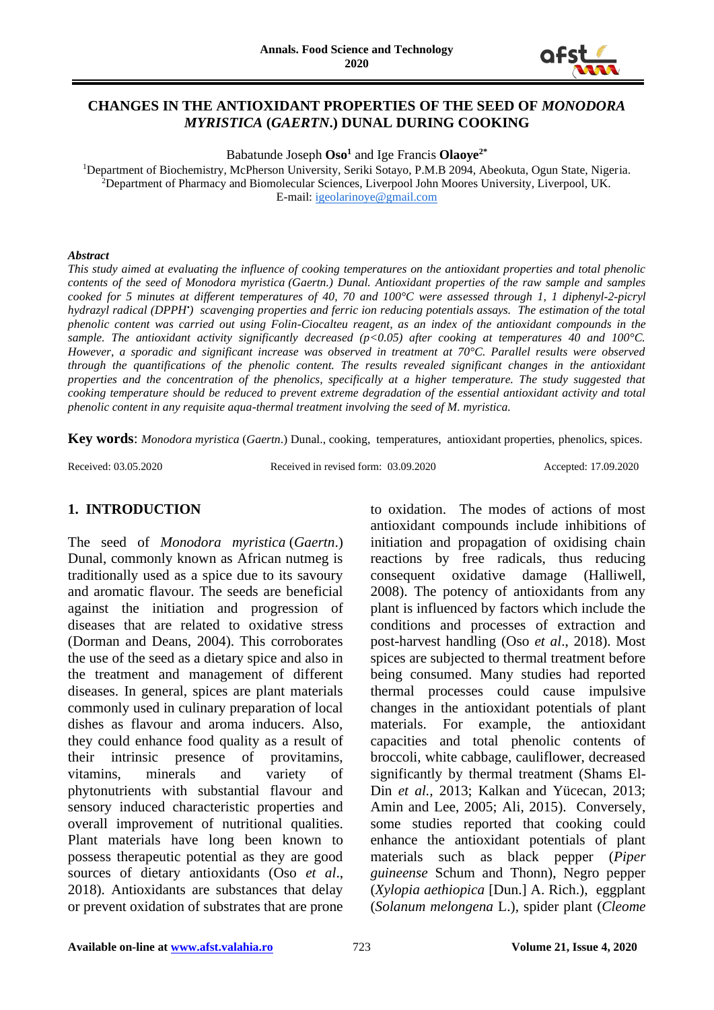

## **CHANGES IN THE ANTIOXIDANT PROPERTIES OF THE SEED OF** *MONODORA MYRISTICA* **(***GAERTN***.) DUNAL DURING COOKING**

Babatunde Joseph **Oso<sup>1</sup>** and Ige Francis **Olaoye2\***

<sup>1</sup>Department of Biochemistry, McPherson University, Seriki Sotayo, P.M.B 2094, Abeokuta, Ogun State, Nigeria. <sup>2</sup>Department of Pharmacy and Biomolecular Sciences, Liverpool John Moores University, Liverpool, UK. E-mail: [igeolarinoye@gmail.com](mailto:igeolarinoye@gmail.com)

#### *Abstract*

*This study aimed at evaluating the influence of cooking temperatures on the antioxidant properties and total phenolic contents of the seed of Monodora myristica (Gaertn.) Dunal. Antioxidant properties of the raw sample and samples cooked for 5 minutes at different temperatures of 40, 70 and 100°C were assessed through 1, 1 diphenyl-2-picryl hydrazyl radical (DPPH• ) scavenging properties and ferric ion reducing potentials assays. The estimation of the total phenolic content was carried out using Folin-Ciocalteu reagent, as an index of the antioxidant compounds in the sample. The antioxidant activity significantly decreased (p<0.05) after cooking at temperatures 40 and 100°C. However, a sporadic and significant increase was observed in treatment at 70°C. Parallel results were observed through the quantifications of the phenolic content. The results revealed significant changes in the antioxidant properties and the concentration of the phenolics, specifically at a higher temperature. The study suggested that cooking temperature should be reduced to prevent extreme degradation of the essential antioxidant activity and total phenolic content in any requisite aqua-thermal treatment involving the seed of M. myristica.*

**Key words**: *Monodora myristica* (*Gaertn*.) Dunal., cooking, temperatures, antioxidant properties, phenolics, spices.

Received: 03.05.2020 Received in revised form: 03.09.2020 Accepted: 17.09.2020

# **1. INTRODUCTION**

The seed of *Monodora myristica* (*Gaertn*.) Dunal, commonly known as African nutmeg is traditionally used as a spice due to its savoury and aromatic flavour. The seeds are beneficial against the initiation and progression of diseases that are related to oxidative stress (Dorman and Deans, 2004). This corroborates the use of the seed as a dietary spice and also in the treatment and management of different diseases. In general, spices are plant materials commonly used in culinary preparation of local dishes as flavour and aroma inducers. Also, they could enhance food quality as a result of their intrinsic presence of provitamins, vitamins, minerals and variety of phytonutrients with substantial flavour and sensory induced characteristic properties and overall improvement of nutritional qualities. Plant materials have long been known to possess therapeutic potential as they are good sources of dietary antioxidants (Oso *et al*., 2018). Antioxidants are substances that delay or prevent oxidation of substrates that are prone

to oxidation. The modes of actions of most antioxidant compounds include inhibitions of initiation and propagation of oxidising chain reactions by free radicals, thus reducing consequent oxidative damage (Halliwell, 2008). The potency of antioxidants from any plant is influenced by factors which include the conditions and processes of extraction and post-harvest handling (Oso *et al*., 2018). Most spices are subjected to thermal treatment before being consumed. Many studies had reported thermal processes could cause impulsive changes in the antioxidant potentials of plant materials. For example, the antioxidant capacities and total phenolic contents of broccoli, white cabbage, cauliflower, decreased significantly by thermal treatment (Shams El-Din *et al.,* 2013; Kalkan and Yücecan, 2013; Amin and Lee, 2005; Ali, 2015). Conversely, some studies reported that cooking could enhance the antioxidant potentials of plant materials such as black pepper (*Piper guineense* Schum and Thonn), Negro pepper (*Xylopia aethiopica* [Dun.] A. Rich.), eggplant (*Solanum melongena* L.), spider plant (*Cleome*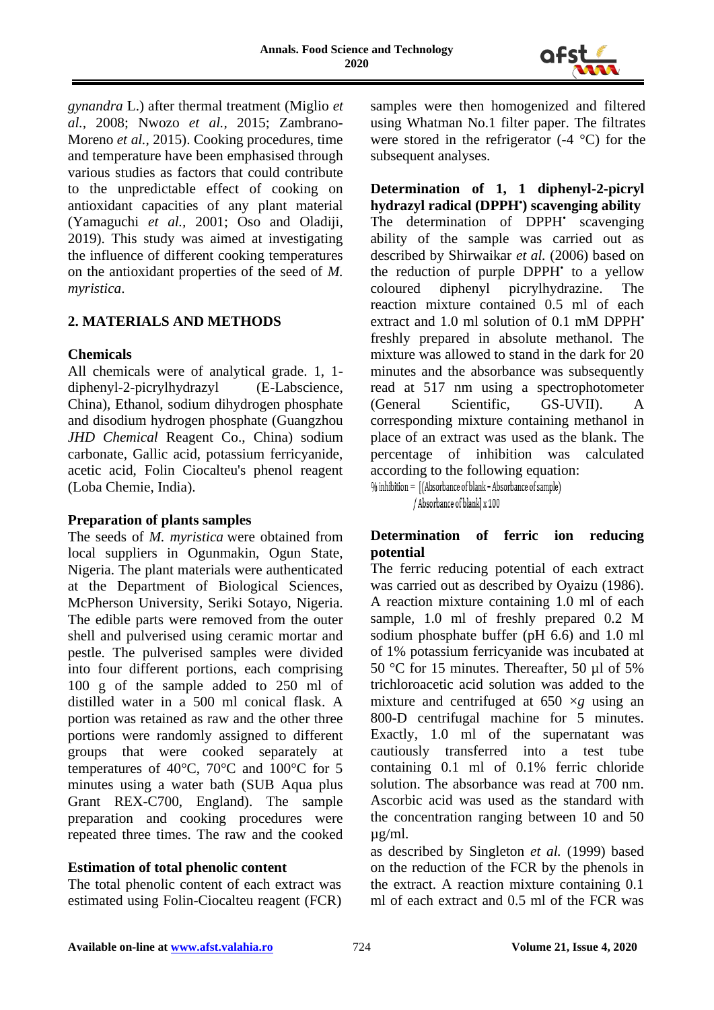

*gynandra* L.) after thermal treatment (Miglio *et al.,* 2008; Nwozo *et al.,* 2015; Zambrano-Moreno *et al.,* 2015). Cooking procedures, time and temperature have been emphasised through various studies as factors that could contribute to the unpredictable effect of cooking on antioxidant capacities of any plant material (Yamaguchi *et al.,* 2001; Oso and Oladiji, 2019). This study was aimed at investigating the influence of different cooking temperatures on the antioxidant properties of the seed of *M. myristica*.

### **2. MATERIALS AND METHODS**

### **Chemicals**

All chemicals were of analytical grade. 1, 1 diphenyl-2-picrylhydrazyl (E-Labscience, China), Ethanol, sodium dihydrogen phosphate and disodium hydrogen phosphate (Guangzhou *JHD Chemical* Reagent Co., China) sodium carbonate, Gallic acid, potassium ferricyanide, acetic acid, Folin Ciocalteu's phenol reagent (Loba Chemie, India).

#### **Preparation of plants samples**

The seeds of *M. myristica* were obtained from local suppliers in Ogunmakin, Ogun State, Nigeria. The plant materials were authenticated at the Department of Biological Sciences, McPherson University, Seriki Sotayo, Nigeria. The edible parts were removed from the outer shell and pulverised using ceramic mortar and pestle. The pulverised samples were divided into four different portions, each comprising 100 g of the sample added to 250 ml of distilled water in a 500 ml conical flask. A portion was retained as raw and the other three portions were randomly assigned to different groups that were cooked separately at temperatures of 40°C, 70°C and 100°C for 5 minutes using a water bath (SUB Aqua plus Grant REX-C700, England). The sample preparation and cooking procedures were repeated three times. The raw and the cooked

# **Estimation of total phenolic content**

The total phenolic content of each extract was estimated using Folin-Ciocalteu reagent (FCR) samples were then homogenized and filtered using Whatman No.1 filter paper. The filtrates were stored in the refrigerator (-4 °C) for the subsequent analyses.

**Determination of 1, 1 diphenyl-2-picryl hydrazyl radical (DPPH• ) scavenging ability** The determination of DPPH' scavenging ability of the sample was carried out as described by Shirwaikar *et al.* (2006) based on the reduction of purple DPPH<sup>\*</sup> to a yellow coloured diphenyl picrylhydrazine. The reaction mixture contained 0.5 ml of each extract and 1.0 ml solution of 0.1 mM DPPH' freshly prepared in absolute methanol. The mixture was allowed to stand in the dark for 20 minutes and the absorbance was subsequently read at 517 nm using a spectrophotometer (General Scientific, GS-UVII). A corresponding mixture containing methanol in place of an extract was used as the blank. The percentage of inhibition was calculated according to the following equation:<br>% inhibition = [(Absorbance of blank - Absorbance of sample)

/ Absorbance of blank] x 100

# **Determination of ferric ion reducing potential**

The ferric reducing potential of each extract was carried out as described by Oyaizu (1986). A reaction mixture containing 1.0 ml of each sample, 1.0 ml of freshly prepared 0.2 M sodium phosphate buffer (pH 6.6) and 1.0 ml of 1% potassium ferricyanide was incubated at 50 °C for 15 minutes. Thereafter, 50 µl of 5% trichloroacetic acid solution was added to the mixture and centrifuged at 650 ×*g* using an 800-D centrifugal machine for 5 minutes. Exactly, 1.0 ml of the supernatant was cautiously transferred into a test tube containing 0.1 ml of 0.1% ferric chloride solution. The absorbance was read at 700 nm. Ascorbic acid was used as the standard with the concentration ranging between 10 and 50 µg/ml.

as described by Singleton *et al.* (1999) based on the reduction of the FCR by the phenols in the extract. A reaction mixture containing 0.1 ml of each extract and 0.5 ml of the FCR was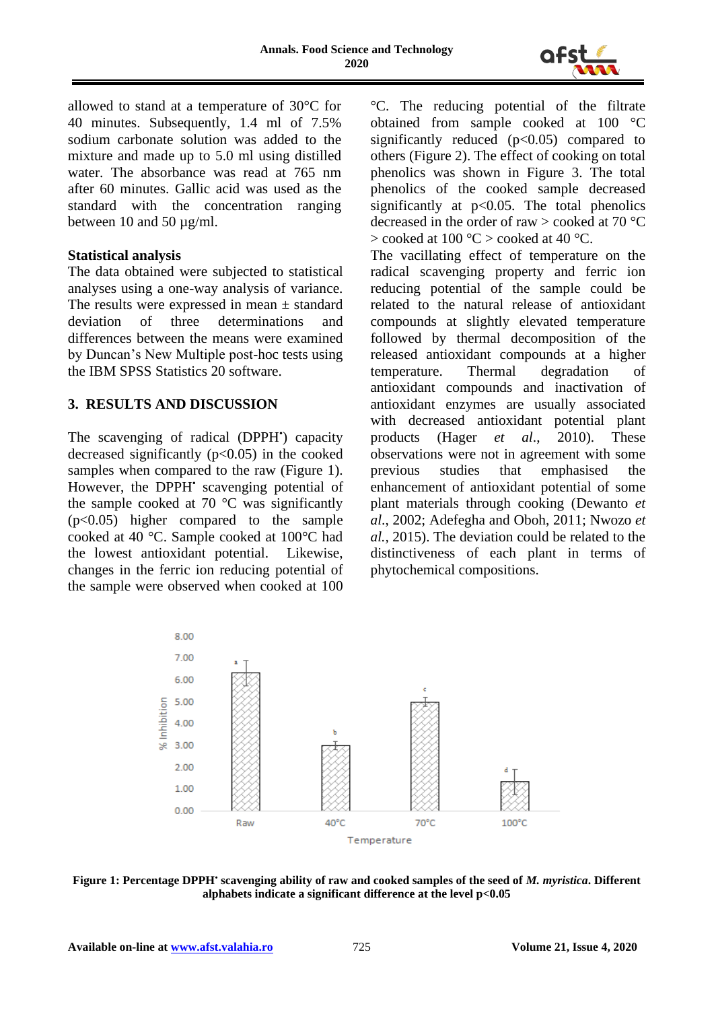

allowed to stand at a temperature of 30°C for 40 minutes. Subsequently, 1.4 ml of 7.5% sodium carbonate solution was added to the mixture and made up to 5.0 ml using distilled water. The absorbance was read at 765 nm after 60 minutes. Gallic acid was used as the standard with the concentration ranging between 10 and 50  $\mu$ g/ml.

### **Statistical analysis**

The data obtained were subjected to statistical analyses using a one-way analysis of variance. The results were expressed in mean  $\pm$  standard deviation of three determinations and differences between the means were examined by Duncan's New Multiple post-hoc tests using the IBM SPSS Statistics 20 software.

### **3. RESULTS AND DISCUSSION**

The scavenging of radical (DPPH') capacity decreased significantly  $(p<0.05)$  in the cooked samples when compared to the raw (Figure 1). However, the DPPH' scavenging potential of the sample cooked at 70  $\degree$ C was significantly (p<0.05) higher compared to the sample cooked at 40 °C. Sample cooked at 100°C had the lowest antioxidant potential. Likewise, changes in the ferric ion reducing potential of the sample were observed when cooked at 100

°C. The reducing potential of the filtrate obtained from sample cooked at 100 °C significantly reduced  $(p<0.05)$  compared to others (Figure 2). The effect of cooking on total phenolics was shown in Figure 3. The total phenolics of the cooked sample decreased significantly at  $p<0.05$ . The total phenolics decreased in the order of raw  $>$  cooked at 70 °C  $>$  cooked at 100 °C  $>$  cooked at 40 °C.

The vacillating effect of temperature on the radical scavenging property and ferric ion reducing potential of the sample could be related to the natural release of antioxidant compounds at slightly elevated temperature followed by thermal decomposition of the released antioxidant compounds at a higher temperature. Thermal degradation of antioxidant compounds and inactivation of antioxidant enzymes are usually associated with decreased antioxidant potential plant products (Hager  $et$   $al., 2010$ ). These products (Hager *et al*., 2010). These observations were not in agreement with some previous studies that emphasised the enhancement of antioxidant potential of some plant materials through cooking (Dewanto *et al*., 2002; Adefegha and Oboh, 2011; Nwozo *et al.,* 2015). The deviation could be related to the distinctiveness of each plant in terms of phytochemical compositions.



**Figure 1: Percentage DPPH• scavenging ability of raw and cooked samples of the seed of** *M. myristica***. Different alphabets indicate a significant difference at the level p<0.05**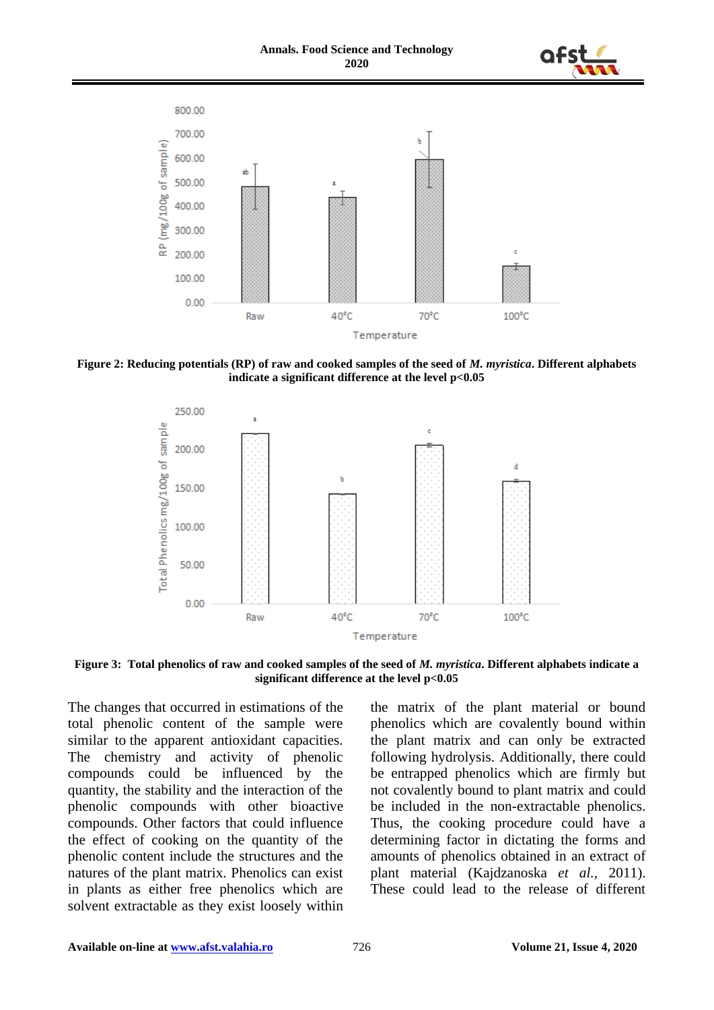



**Figure 2: Reducing potentials (RP) of raw and cooked samples of the seed of** *M. myristica***. Different alphabets indicate a significant difference at the level p<0.05**



**Figure 3: Total phenolics of raw and cooked samples of the seed of** *M. myristica***. Different alphabets indicate a significant difference at the level p<0.05**

The changes that occurred in estimations of the total phenolic content of the sample were similar to the apparent antioxidant capacities. The chemistry and activity of phenolic compounds could be influenced by the quantity, the stability and the interaction of the phenolic compounds with other bioactive compounds. Other factors that could influence the effect of cooking on the quantity of the phenolic content include the structures and the natures of the plant matrix. Phenolics can exist in plants as either free phenolics which are solvent extractable as they exist loosely within

the matrix of the plant material or bound phenolics which are covalently bound within the plant matrix and can only be extracted following hydrolysis. Additionally, there could be entrapped phenolics which are firmly but not covalently bound to plant matrix and could be included in the non-extractable phenolics. Thus, the cooking procedure could have a determining factor in dictating the forms and amounts of phenolics obtained in an extract of plant material (Kajdzanoska *et al.,* 2011). These could lead to the release of different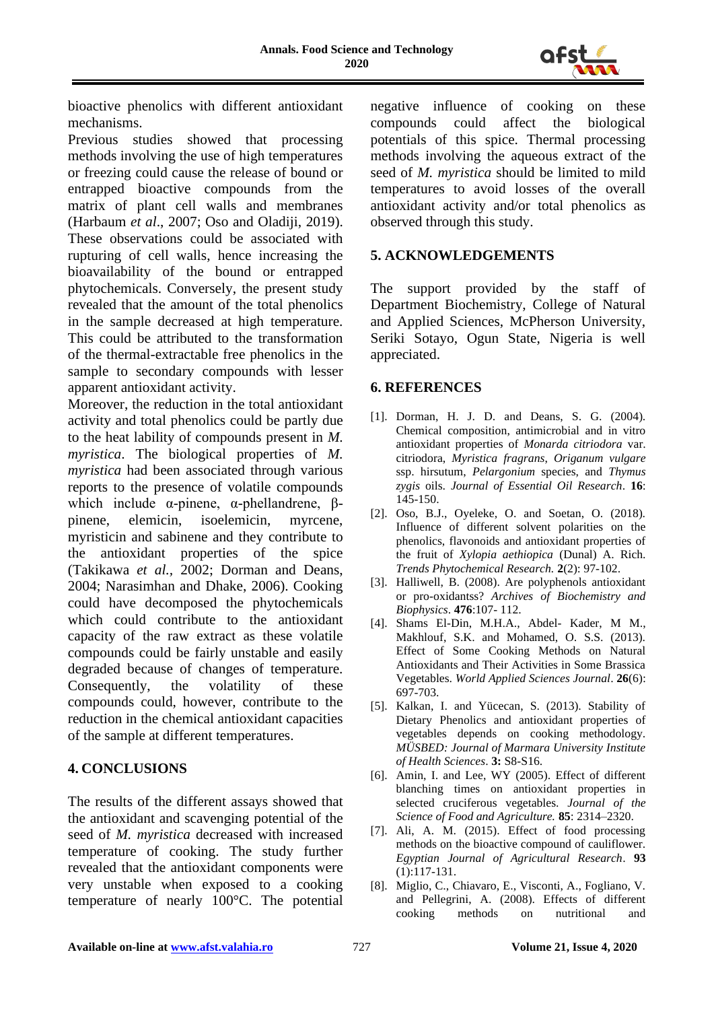

bioactive phenolics with different antioxidant mechanisms.

Previous studies showed that processing methods involving the use of high temperatures or freezing could cause the release of bound or entrapped bioactive compounds from the matrix of plant cell walls and membranes (Harbaum *et al*., 2007; Oso and Oladiji, 2019). These observations could be associated with rupturing of cell walls, hence increasing the bioavailability of the bound or entrapped phytochemicals. Conversely, the present study revealed that the amount of the total phenolics in the sample decreased at high temperature. This could be attributed to the transformation of the thermal-extractable free phenolics in the sample to secondary compounds with lesser apparent antioxidant activity.

Moreover, the reduction in the total antioxidant activity and total phenolics could be partly due to the heat lability of compounds present in *M. myristica*. The biological properties of *M. myristica* had been associated through various reports to the presence of volatile compounds which include α-pinene, α-phellandrene, βpinene, elemicin, isoelemicin, myrcene, myristicin and sabinene and they contribute to the antioxidant properties of the spice (Takikawa *et al.,* 2002; Dorman and Deans, 2004; Narasimhan and Dhake, 2006). Cooking could have decomposed the phytochemicals which could contribute to the antioxidant capacity of the raw extract as these volatile compounds could be fairly unstable and easily degraded because of changes of temperature. Consequently, the volatility of these compounds could, however, contribute to the reduction in the chemical antioxidant capacities of the sample at different temperatures.

# **4. CONCLUSIONS**

The results of the different assays showed that the antioxidant and scavenging potential of the seed of *M. myristica* decreased with increased temperature of cooking. The study further revealed that the antioxidant components were very unstable when exposed to a cooking temperature of nearly 100°C. The potential

negative influence of cooking on these compounds could affect the biological potentials of this spice. Thermal processing methods involving the aqueous extract of the seed of *M. myristica* should be limited to mild temperatures to avoid losses of the overall antioxidant activity and/or total phenolics as observed through this study.

# **5. ACKNOWLEDGEMENTS**

The support provided by the staff of Department Biochemistry, College of Natural and Applied Sciences, McPherson University, Seriki Sotayo, Ogun State, Nigeria is well appreciated.

### **6. REFERENCES**

- [1]. Dorman, H. J. D. and Deans, S. G. (2004). Chemical composition, antimicrobial and in vitro antioxidant properties of *Monarda citriodora* var. citriodora, *Myristica fragrans*, *Origanum vulgare* ssp. hirsutum, *Pelargonium* species, and *Thymus zygis* oils. *Journal of Essential Oil Research*. **16**: 145-150.
- [2]. Oso, B.J., Oyeleke, O. and Soetan, O. (2018). Influence of different solvent polarities on the phenolics, flavonoids and antioxidant properties of the fruit of *Xylopia aethiopica* (Dunal) A. Rich. *Trends Phytochemical Research.* **2**(2): 97-102.
- [3]. Halliwell, B. (2008). Are polyphenols antioxidant or pro-oxidantss? *Archives of Biochemistry and Biophysics*. **476**:107- 112.
- [4]. Shams El-Din, M.H.A., Abdel- Kader, M M., Makhlouf, S.K. and Mohamed, O. S.S. (2013). Effect of Some Cooking Methods on Natural Antioxidants and Their Activities in Some Brassica Vegetables. *World Applied Sciences Journal*. **26**(6): 697-703.
- [5]. Kalkan, I. and Yücecan, S. (2013). Stability of Dietary Phenolics and antioxidant properties of vegetables depends on cooking methodology. *MÜSBED: Journal of Marmara University Institute of Health Sciences*. **3:** S8-S16.
- [6]. Amin, I. and Lee, WY (2005). Effect of different blanching times on antioxidant properties in selected cruciferous vegetables. *Journal of the Science of Food and Agriculture.* **85**: 2314–2320.
- [7]. Ali, A. M. (2015). Effect of food processing methods on the bioactive compound of cauliflower. *Egyptian Journal of Agricultural Research*. **93** (1):117-131.
- [8]. Miglio, C., Chiavaro, E., Visconti, A., Fogliano, V. and Pellegrini, A. (2008). Effects of different cooking methods on nutritional and